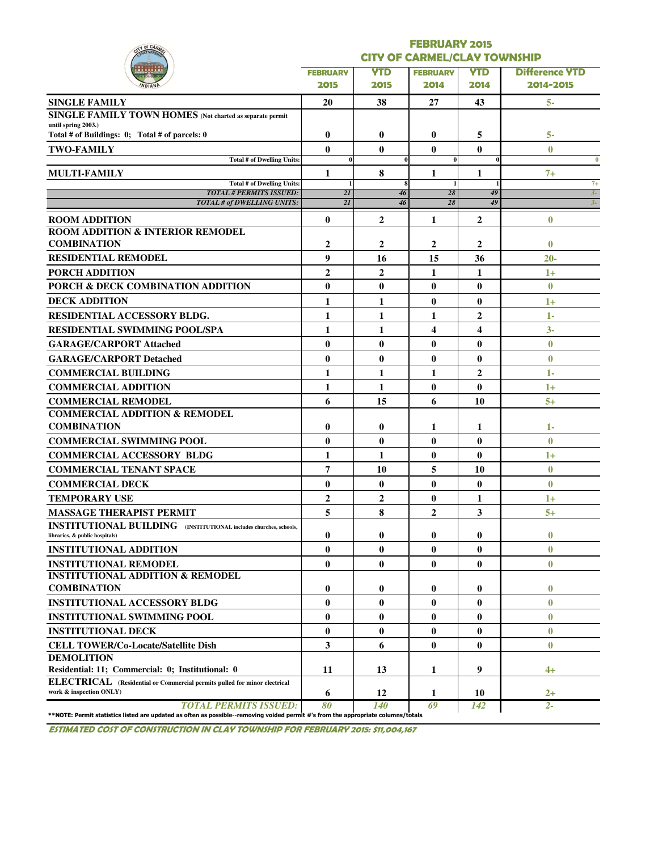| <b>Y OF CAR</b>                                                                                                                                                    |                    |                                     | <b>FEBRUARY 2015</b>    |                  |                       |  |  |  |  |  |
|--------------------------------------------------------------------------------------------------------------------------------------------------------------------|--------------------|-------------------------------------|-------------------------|------------------|-----------------------|--|--|--|--|--|
|                                                                                                                                                                    |                    | <b>CITY OF CARMEL/CLAY TOWNSHIP</b> |                         |                  |                       |  |  |  |  |  |
|                                                                                                                                                                    | <b>FEBRUARY</b>    | <b>YTD</b>                          | <b>FEBRUARY</b>         | <b>YTD</b>       | <b>Difference YTD</b> |  |  |  |  |  |
|                                                                                                                                                                    | 2015               | 2015                                | 2014                    | 2014             | 2014-2015             |  |  |  |  |  |
| <b>SINGLE FAMILY</b>                                                                                                                                               | 20                 | 38                                  | 27                      | 43               | $5-$                  |  |  |  |  |  |
| SINGLE FAMILY TOWN HOMES (Not charted as separate permit                                                                                                           |                    |                                     |                         |                  |                       |  |  |  |  |  |
| until spring 2003.)<br>Total # of Buildings: 0; Total # of parcels: 0                                                                                              | $\bf{0}$           | 0                                   | $\bf{0}$                | 5                | 5-                    |  |  |  |  |  |
| <b>TWO-FAMILY</b>                                                                                                                                                  | $\bf{0}$           | $\bf{0}$                            | $\bf{0}$                | $\bf{0}$         | $\mathbf{0}$          |  |  |  |  |  |
| <b>Total # of Dwelling Units:</b>                                                                                                                                  | $\bf{0}$           | 0                                   | $\bf{0}$                |                  | $\bf{0}$              |  |  |  |  |  |
| <b>MULTI-FAMILY</b>                                                                                                                                                | 1                  | 8                                   | 1                       | 1                | $7+$                  |  |  |  |  |  |
| Total # of Dwelling Units:<br><b>TOTAL # PERMITS ISSUED:</b>                                                                                                       | $\mathbf{1}$<br>2I | 8<br>46                             | 28                      | 49               | $7+$<br>$3-$          |  |  |  |  |  |
| <b>TOTAL # of DWELLING UNITS:</b>                                                                                                                                  | $\overline{2I}$    | 46                                  | 28                      | 49               | $3-$                  |  |  |  |  |  |
| <b>ROOM ADDITION</b>                                                                                                                                               | $\bf{0}$           | $\mathbf{2}$                        | 1                       | $\boldsymbol{2}$ | $\bf{0}$              |  |  |  |  |  |
| <b>ROOM ADDITION &amp; INTERIOR REMODEL</b>                                                                                                                        |                    |                                     |                         |                  |                       |  |  |  |  |  |
| <b>COMBINATION</b>                                                                                                                                                 | $\mathbf 2$        | 2                                   | $\mathbf{2}$            | 2                | $\bf{0}$              |  |  |  |  |  |
| <b>RESIDENTIAL REMODEL</b>                                                                                                                                         | 9                  | 16                                  | 15                      | 36               | $20 -$                |  |  |  |  |  |
| <b>PORCH ADDITION</b>                                                                                                                                              | $\overline{2}$     | $\overline{2}$                      | 1                       | 1                | $1+$                  |  |  |  |  |  |
| PORCH & DECK COMBINATION ADDITION                                                                                                                                  | $\bf{0}$           | $\bf{0}$                            | $\bf{0}$                | $\bf{0}$         | $\mathbf{0}$          |  |  |  |  |  |
| <b>DECK ADDITION</b>                                                                                                                                               | 1                  | 1                                   | $\bf{0}$                | $\bf{0}$         | $1+$                  |  |  |  |  |  |
| <b>RESIDENTIAL ACCESSORY BLDG.</b>                                                                                                                                 | 1                  | 1                                   | 1                       | 2                | $1 -$                 |  |  |  |  |  |
| <b>RESIDENTIAL SWIMMING POOL/SPA</b>                                                                                                                               | 1                  | 1                                   | $\overline{\mathbf{4}}$ | 4                | $3-$                  |  |  |  |  |  |
| <b>GARAGE/CARPORT Attached</b>                                                                                                                                     | $\bf{0}$           | $\bf{0}$                            | $\bf{0}$                | $\bf{0}$         | $\bf{0}$              |  |  |  |  |  |
| <b>GARAGE/CARPORT Detached</b>                                                                                                                                     | $\bf{0}$           | $\bf{0}$                            | $\bf{0}$                | $\bf{0}$         | $\bf{0}$              |  |  |  |  |  |
| <b>COMMERCIAL BUILDING</b>                                                                                                                                         | 1                  | 1                                   | 1                       | 2                | 1-                    |  |  |  |  |  |
| <b>COMMERCIAL ADDITION</b>                                                                                                                                         | 1                  | 1                                   | $\bf{0}$                | $\bf{0}$         | $1+$                  |  |  |  |  |  |
| <b>COMMERCIAL REMODEL</b>                                                                                                                                          | 6                  | 15                                  | 6                       | 10               | $5+$                  |  |  |  |  |  |
| <b>COMMERCIAL ADDITION &amp; REMODEL</b>                                                                                                                           |                    |                                     |                         |                  |                       |  |  |  |  |  |
| <b>COMBINATION</b>                                                                                                                                                 | 0                  | $\bf{0}$                            | 1                       | 1                | 1-                    |  |  |  |  |  |
| <b>COMMERCIAL SWIMMING POOL</b>                                                                                                                                    | $\bf{0}$           | $\bf{0}$                            | $\bf{0}$                | $\bf{0}$         | $\mathbf{0}$          |  |  |  |  |  |
| <b>COMMERCIAL ACCESSORY BLDG</b>                                                                                                                                   | 1                  | 1                                   | $\bf{0}$                | $\bf{0}$         | 1+                    |  |  |  |  |  |
| <b>COMMERCIAL TENANT SPACE</b>                                                                                                                                     | 7                  | 10                                  | 5                       | 10               | $\bf{0}$              |  |  |  |  |  |
| <b>COMMERCIAL DECK</b>                                                                                                                                             | $\bf{0}$           | $\bf{0}$                            | $\bf{0}$                | $\bf{0}$         | $\bf{0}$              |  |  |  |  |  |
| <b>TEMPORARY USE</b>                                                                                                                                               | $\overline{2}$     | $\mathbf{2}$                        | $\bf{0}$                | 1                | $1+$                  |  |  |  |  |  |
| <b>MASSAGE THERAPIST PERMIT</b>                                                                                                                                    | 5                  | 8                                   | $\overline{2}$          | 3                | $5+$                  |  |  |  |  |  |
| <b>INSTITUTIONAL BUILDING</b> (INSTITUTIONAL includes churches, schools,<br>libraries, & public hospitals)                                                         | 0                  | 0                                   | $\bf{0}$                | $\bf{0}$         | $\bf{0}$              |  |  |  |  |  |
| <b>INSTITUTIONAL ADDITION</b>                                                                                                                                      | $\bf{0}$           | $\bf{0}$                            | $\bf{0}$                | $\bf{0}$         | $\bf{0}$              |  |  |  |  |  |
| <b>INSTITUTIONAL REMODEL</b>                                                                                                                                       | $\bf{0}$           | $\bf{0}$                            | $\bf{0}$                | $\bf{0}$         | $\bf{0}$              |  |  |  |  |  |
| <b>INSTITUTIONAL ADDITION &amp; REMODEL</b>                                                                                                                        |                    |                                     |                         |                  |                       |  |  |  |  |  |
| <b>COMBINATION</b>                                                                                                                                                 | 0                  | 0                                   | 0                       | $\bf{0}$         | $\bf{0}$              |  |  |  |  |  |
| <b>INSTITUTIONAL ACCESSORY BLDG</b>                                                                                                                                | $\bf{0}$           | $\bf{0}$                            | $\bf{0}$                | $\bf{0}$         | $\bf{0}$              |  |  |  |  |  |
| <b>INSTITUTIONAL SWIMMING POOL</b>                                                                                                                                 | $\bf{0}$           | $\bf{0}$                            | $\bf{0}$                | $\bf{0}$         | $\bf{0}$              |  |  |  |  |  |
| <b>INSTITUTIONAL DECK</b>                                                                                                                                          | $\bf{0}$           | $\bf{0}$                            | $\bf{0}$                | $\bf{0}$         | $\bf{0}$              |  |  |  |  |  |
| <b>CELL TOWER/Co-Locate/Satellite Dish</b>                                                                                                                         | 3                  | 6                                   | $\bf{0}$                | $\bf{0}$         | $\bf{0}$              |  |  |  |  |  |
| <b>DEMOLITION</b>                                                                                                                                                  |                    |                                     |                         |                  |                       |  |  |  |  |  |
| Residential: 11; Commercial: 0; Institutional: 0                                                                                                                   | 11                 | 13                                  | 1                       | 9                | 4+                    |  |  |  |  |  |
| ELECTRICAL (Residential or Commercial permits pulled for minor electrical<br>work & inspection ONLY)                                                               | 6                  | 12                                  | 1                       | 10               | $2+$                  |  |  |  |  |  |
| <b>TOTAL PERMITS ISSUED:</b><br>**NOTE: Permit statistics listed are updated as often as possible--removing voided permit #'s from the appropriate columns/totals. | 80                 | <b>140</b>                          | 69                      | 142              | $2 -$                 |  |  |  |  |  |

ESTIMATED COST OF CONSTRUCTION IN CLAY TOWNSHIP FOR FEBRUARY 2015: \$11,004,167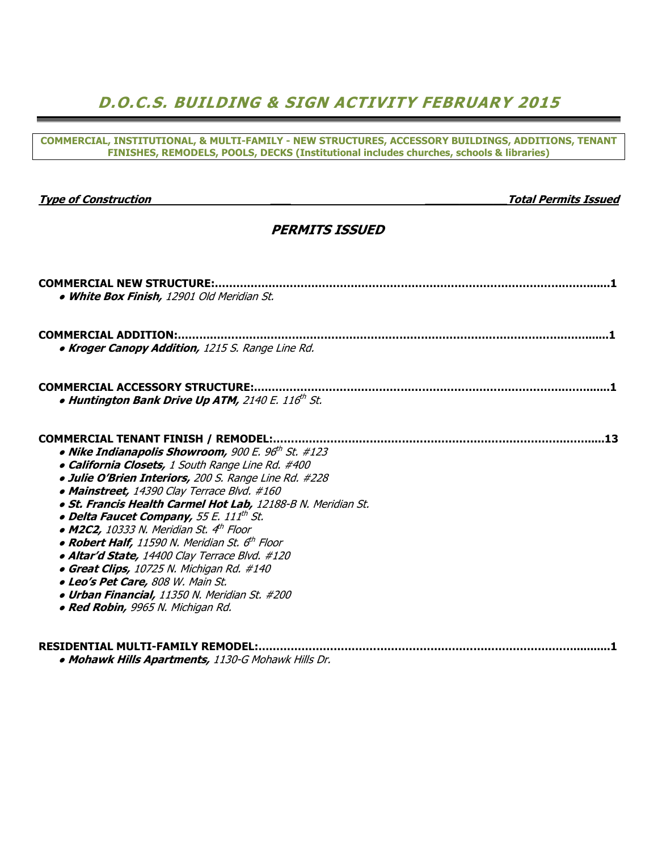# D.O.C.S. BUILDING & SIGN ACTIVITY FEBRUARY 2015

#### COMMERCIAL, INSTITUTIONAL, & MULTI-FAMILY - NEW STRUCTURES, ACCESSORY BUILDINGS, ADDITIONS, TENANT FINISHES, REMODELS, POOLS, DECKS (Institutional includes churches, schools & libraries)

| <b>Type of Construction</b> |
|-----------------------------|
|-----------------------------|

#### **Total Permits Issued**

### PERMITS ISSUED

| <b>COMMERCIAL NEW STRUCTURE:</b>                             |    |
|--------------------------------------------------------------|----|
| . White Box Finish, 12901 Old Meridian St.                   |    |
| <b>COMMERCIAL ADDITION:</b>                                  |    |
| . Kroger Canopy Addition, 1215 S. Range Line Rd.             |    |
| <b>COMMERCIAL ACCESSORY STRUCTURE:</b>                       |    |
| . Huntington Bank Drive Up ATM, 2140 E. 116th St.            |    |
| <b>COMMERCIAL TENANT FINISH / REMODEL:.</b>                  | 13 |
| • Nike Indianapolis Showroom, 900 E. 96th St. #123           |    |
| · California Closets, 1 South Range Line Rd. #400            |    |
| · Julie O'Brien Interiors, 200 S. Range Line Rd. #228        |    |
| • Mainstreet, 14390 Clay Terrace Blvd. #160                  |    |
| · St. Francis Health Carmel Hot Lab, 12188-B N. Meridian St. |    |
| • Delta Faucet Company, 55 E. 111th St.                      |    |
| • M2C2, 10333 N. Meridian St. $4^{\text{th}}$ Floor          |    |
| • Robert Half, 11590 N. Meridian St. 6 <sup>th</sup> Floor   |    |
| · Altar'd State, 14400 Clay Terrace Blvd. #120               |    |
| • Great Clips, 10725 N. Michigan Rd. #140                    |    |
| · Leo's Pet Care, 808 W. Main St.                            |    |
| · Urban Financial, 11350 N. Meridian St. #200                |    |
| • Red Robin, 9965 N. Michigan Rd.                            |    |
|                                                              |    |
| <b>RESIDENTIAL MULTI-FAMILY REMODEL:</b>                     |    |
| • Mohawk Hills Apartments, 1130-G Mohawk Hills Dr.           |    |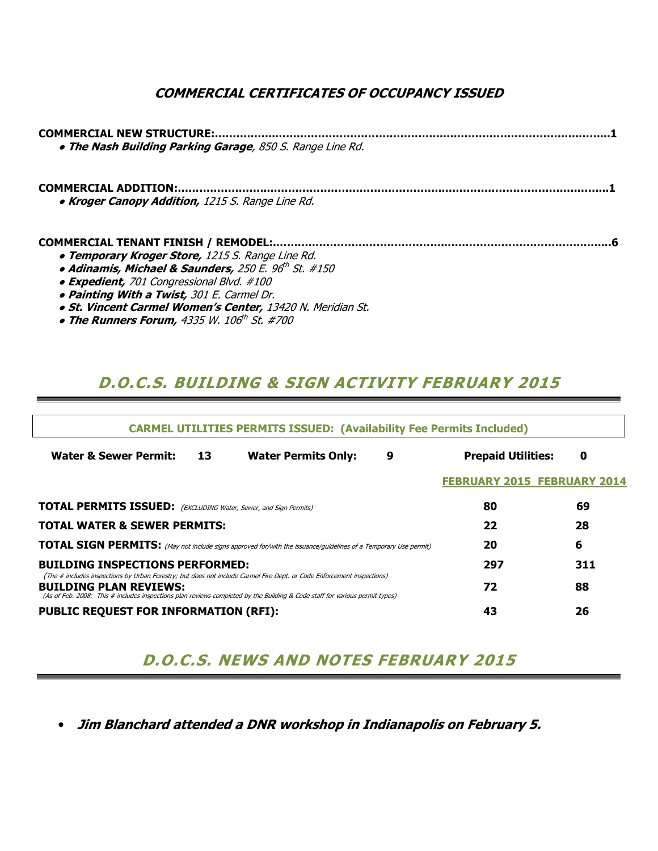### COMMERCIAL CERTIFICATES OF OCCUPANCY ISSUED

| . The Nash Building Parking Garage, 850 S. Range Line Rd.                                                                                                                                                              |  |
|------------------------------------------------------------------------------------------------------------------------------------------------------------------------------------------------------------------------|--|
| • Kroger Canopy Addition, 1215 S. Range Line Rd.                                                                                                                                                                       |  |
| <b>. Temporary Kroger Store, 1215 S. Range Line Rd.</b><br>· Adinamis, Michael & Saunders, 250 E. 96 <sup>th</sup> St. #150<br>• Expedient, 701 Congressional Blvd. #100<br>. Painting With a Twist, 301 E. Carmel Dr. |  |

- **St. Vincent Carmel Women's Center, 13420 N. Meridian St.**
- $\bullet$  The Runners Forum, 4335 W. 106th St. #700

## D.O.C.S. BUILDING & SIGN ACTIVITY FEBRUARY 2015

| <b>CARMEL UTILITIES PERMITS ISSUED: (Availability Fee Permits Included)</b>                                                                                                                                                                                                            |    |                            |   |                                    |     |  |  |  |  |  |  |  |
|----------------------------------------------------------------------------------------------------------------------------------------------------------------------------------------------------------------------------------------------------------------------------------------|----|----------------------------|---|------------------------------------|-----|--|--|--|--|--|--|--|
| <b>Water &amp; Sewer Permit:</b>                                                                                                                                                                                                                                                       | 13 | <b>Water Permits Only:</b> | 9 | <b>Prepaid Utilities:</b>          | 0   |  |  |  |  |  |  |  |
|                                                                                                                                                                                                                                                                                        |    |                            |   | <b>FEBRUARY 2015 FEBRUARY 2014</b> |     |  |  |  |  |  |  |  |
| <b>TOTAL PERMITS ISSUED:</b> (EXCLUDING Water, Sewer, and Sign Permits)                                                                                                                                                                                                                | 80 | 69                         |   |                                    |     |  |  |  |  |  |  |  |
| <b>TOTAL WATER &amp; SEWER PERMITS:</b>                                                                                                                                                                                                                                                |    |                            |   | 22                                 | 28  |  |  |  |  |  |  |  |
| <b>TOTAL SIGN PERMITS:</b> (May not include signs approved for/with the issuance/guidelines of a Temporary Use permit)                                                                                                                                                                 |    |                            |   | 20                                 | 6   |  |  |  |  |  |  |  |
| <b>BUILDING INSPECTIONS PERFORMED:</b>                                                                                                                                                                                                                                                 |    |                            |   | 297                                | 311 |  |  |  |  |  |  |  |
| (The # includes inspections by Urban Forestry; but does not include Carmel Fire Dept. or Code Enforcement inspections)<br><b>BUILDING PLAN REVIEWS:</b><br>(As of Feb. 2008: This # includes inspections plan reviews completed by the Building & Code staff for various permit types) |    |                            |   | 72                                 | 88  |  |  |  |  |  |  |  |
| <b>PUBLIC REQUEST FOR INFORMATION (RFI):</b>                                                                                                                                                                                                                                           |    |                            |   | 43                                 | 26  |  |  |  |  |  |  |  |

## D.O.C.S. NEWS AND NOTES FEBRUARY 2015

• Jim Blanchard attended a DNR workshop in Indianapolis on February 5.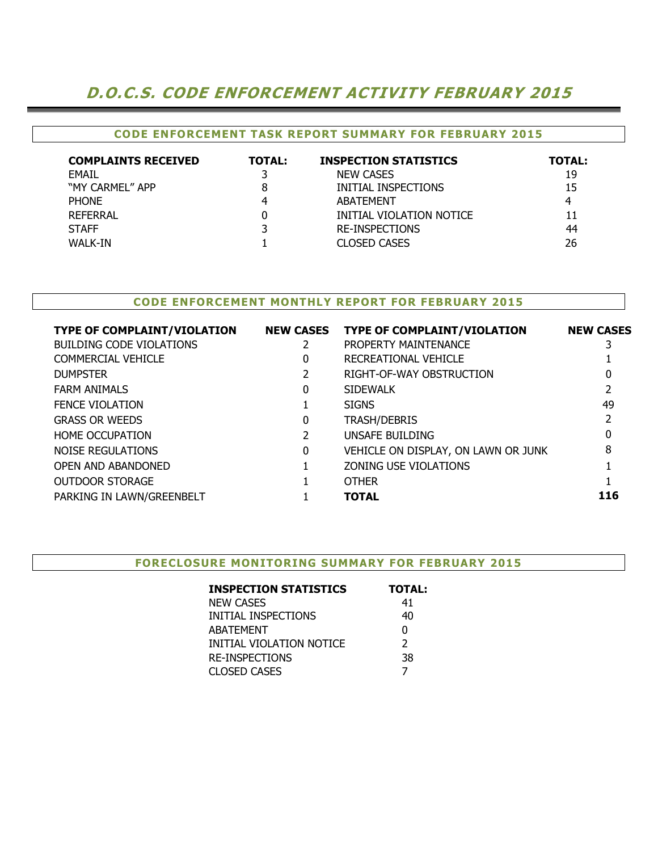## D.O.C.S. CODE ENFORCEMENT ACTIVITY FEBRUARY 2015

#### CODE ENFORCEMENT TASK REPORT SUMMARY FOR FEBRUARY 2015

| <b>COMPLAINTS RECEIVED</b> | <b>TOTAL:</b> | <b>INSPECTION STATISTICS</b> | TOTAL: |
|----------------------------|---------------|------------------------------|--------|
| EMAIL                      |               | <b>NEW CASES</b>             | 19     |
| "MY CARMEL" APP            | 8             | INITIAL INSPECTIONS          | 15     |
| <b>PHONE</b>               |               | <b>ABATEMENT</b>             | 4      |
| <b>REFERRAL</b>            | 0             | INITIAL VIOLATION NOTICE     | 11     |
| <b>STAFF</b>               | 3             | RE-INSPECTIONS               | 44     |
| WALK-IN                    |               | <b>CLOSED CASES</b>          | 26     |

### CODE ENFORCEMENT MONTHLY REPORT FOR FEBRUARY 2015

| <b>TYPE OF COMPLAINT/VIOLATION</b> | <b>NEW CASES</b> | <b>TYPE OF COMPLAINT/VIOLATION</b>  | <b>NEW CASES</b> |
|------------------------------------|------------------|-------------------------------------|------------------|
| <b>BUILDING CODE VIOLATIONS</b>    |                  | PROPERTY MAINTENANCE                |                  |
| <b>COMMERCIAL VEHICLE</b>          | 0                | RECREATIONAL VEHICLE                |                  |
| <b>DUMPSTER</b>                    |                  | RIGHT-OF-WAY OBSTRUCTION            |                  |
| <b>FARM ANIMALS</b>                | 0                | <b>SIDEWALK</b>                     |                  |
| <b>FENCE VIOLATION</b>             |                  | <b>SIGNS</b>                        | 49               |
| <b>GRASS OR WEEDS</b>              | 0                | <b>TRASH/DEBRIS</b>                 |                  |
| <b>HOME OCCUPATION</b>             |                  | UNSAFE BUILDING                     | 0                |
| NOISE REGULATIONS                  | 0                | VEHICLE ON DISPLAY, ON LAWN OR JUNK | 8                |
| OPEN AND ABANDONED                 |                  | ZONING USE VIOLATIONS               |                  |
| <b>OUTDOOR STORAGE</b>             |                  | <b>OTHER</b>                        |                  |
| PARKING IN LAWN/GREENBELT          |                  | <b>TOTAL</b>                        | 116              |
|                                    |                  |                                     |                  |

#### FORECLOSURE MONITORING SUMMARY FOR FEBRUARY 2015

| <b>TOTAL:</b> |
|---------------|
| 41            |
| 40            |
| 0             |
| $\mathcal{P}$ |
| 38            |
|               |
|               |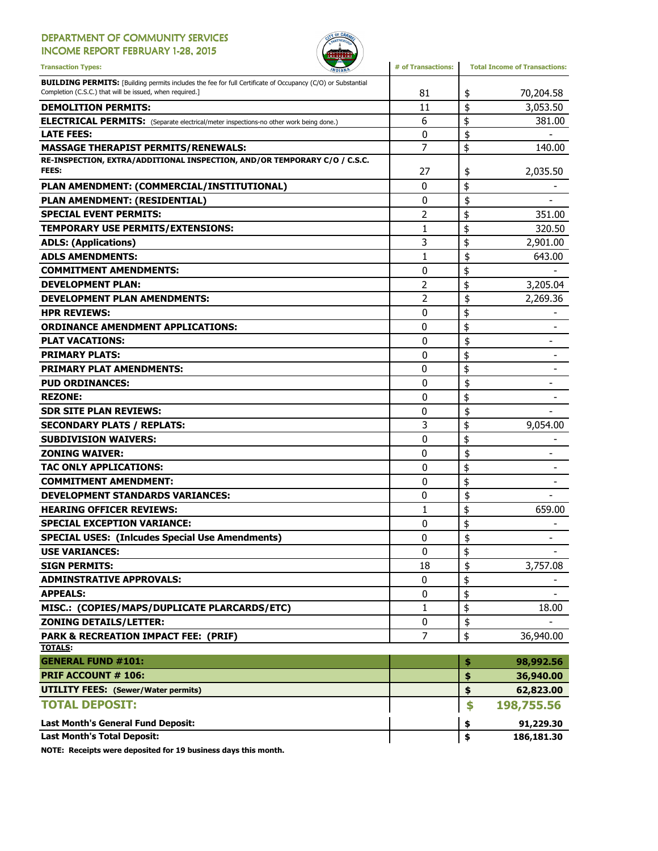### DEPARTMENT OF COMMUNITY SERVICES

INCOME REPORT FEBRUARY 1-28, 2015



| <b>Transaction Types:</b><br><b><i>NDIANA</i></b>                                                                                                                              | # of Transactions: | <b>Total Income of Transactions:</b> |
|--------------------------------------------------------------------------------------------------------------------------------------------------------------------------------|--------------------|--------------------------------------|
| <b>BUILDING PERMITS:</b> [Building permits includes the fee for full Certificate of Occupancy (C/O) or Substantial<br>Completion (C.S.C.) that will be issued, when required.] | 81                 | \$<br>70,204.58                      |
| <b>DEMOLITION PERMITS:</b>                                                                                                                                                     | 11                 | \$<br>3,053.50                       |
| <b>ELECTRICAL PERMITS:</b> (Separate electrical/meter inspections-no other work being done.)                                                                                   | 6                  | \$<br>381.00                         |
| <b>LATE FEES:</b>                                                                                                                                                              | $\mathbf 0$        | \$                                   |
| <b>MASSAGE THERAPIST PERMITS/RENEWALS:</b>                                                                                                                                     | 7                  | \$<br>140.00                         |
| RE-INSPECTION, EXTRA/ADDITIONAL INSPECTION, AND/OR TEMPORARY C/O / C.S.C.<br>FEES:                                                                                             | 27                 | \$<br>2,035.50                       |
| PLAN AMENDMENT: (COMMERCIAL/INSTITUTIONAL)                                                                                                                                     | $\mathbf{0}$       | \$                                   |
| PLAN AMENDMENT: (RESIDENTIAL)                                                                                                                                                  | 0                  | \$                                   |
| <b>SPECIAL EVENT PERMITS:</b>                                                                                                                                                  | 2                  | \$<br>351.00                         |
| TEMPORARY USE PERMITS/EXTENSIONS:                                                                                                                                              | 1                  | \$<br>320.50                         |
| <b>ADLS: (Applications)</b>                                                                                                                                                    | 3                  | \$<br>2,901.00                       |
| <b>ADLS AMENDMENTS:</b>                                                                                                                                                        | $\mathbf{1}$       | \$<br>643.00                         |
| <b>COMMITMENT AMENDMENTS:</b>                                                                                                                                                  | 0                  | \$                                   |
| <b>DEVELOPMENT PLAN:</b>                                                                                                                                                       | 2                  | \$<br>3,205.04                       |
| <b>DEVELOPMENT PLAN AMENDMENTS:</b>                                                                                                                                            | 2                  | \$<br>2,269.36                       |
| <b>HPR REVIEWS:</b>                                                                                                                                                            | 0                  | \$                                   |
| <b>ORDINANCE AMENDMENT APPLICATIONS:</b>                                                                                                                                       | 0                  | \$                                   |
| <b>PLAT VACATIONS:</b>                                                                                                                                                         | 0                  | \$                                   |
| <b>PRIMARY PLATS:</b>                                                                                                                                                          | 0                  | \$                                   |
| <b>PRIMARY PLAT AMENDMENTS:</b>                                                                                                                                                | 0                  | \$                                   |
| <b>PUD ORDINANCES:</b>                                                                                                                                                         | $\mathbf{0}$       | \$                                   |
| <b>REZONE:</b>                                                                                                                                                                 | 0                  | \$                                   |
| <b>SDR SITE PLAN REVIEWS:</b>                                                                                                                                                  | 0                  | \$                                   |
| <b>SECONDARY PLATS / REPLATS:</b>                                                                                                                                              | 3                  | \$<br>9,054.00                       |
| <b>SUBDIVISION WAIVERS:</b>                                                                                                                                                    | 0                  | \$                                   |
| <b>ZONING WAIVER:</b>                                                                                                                                                          | 0                  | \$                                   |
| TAC ONLY APPLICATIONS:                                                                                                                                                         | 0                  | \$                                   |
| <b>COMMITMENT AMENDMENT:</b>                                                                                                                                                   | 0                  | \$                                   |
| <b>DEVELOPMENT STANDARDS VARIANCES:</b>                                                                                                                                        | 0                  | \$                                   |
| <b>HEARING OFFICER REVIEWS:</b>                                                                                                                                                | 1                  | \$<br>659.00                         |
| <b>SPECIAL EXCEPTION VARIANCE:</b>                                                                                                                                             | 0                  | \$                                   |
| <b>SPECIAL USES: (Inlcudes Special Use Amendments)</b>                                                                                                                         | 0                  | \$                                   |
| <b>USE VARIANCES:</b>                                                                                                                                                          | 0                  | \$                                   |
| <b>SIGN PERMITS:</b>                                                                                                                                                           | 18                 | \$<br>3,757.08                       |
| <b>ADMINSTRATIVE APPROVALS:</b>                                                                                                                                                | 0                  | \$                                   |
| <b>APPEALS:</b>                                                                                                                                                                | 0                  | \$                                   |
| MISC.: (COPIES/MAPS/DUPLICATE PLARCARDS/ETC)                                                                                                                                   | 1                  | \$<br>18.00                          |
| <b>ZONING DETAILS/LETTER:</b>                                                                                                                                                  | 0                  | \$                                   |
| <b>PARK &amp; RECREATION IMPACT FEE: (PRIF)</b>                                                                                                                                | $\overline{7}$     | \$<br>36,940.00                      |
| <b>TOTALS:</b>                                                                                                                                                                 |                    |                                      |
| <b>GENERAL FUND #101:</b>                                                                                                                                                      |                    | \$<br>98,992.56                      |
| <b>PRIF ACCOUNT # 106:</b>                                                                                                                                                     |                    | \$<br>36,940.00                      |
| <b>UTILITY FEES:</b> (Sewer/Water permits)                                                                                                                                     |                    | \$<br>62,823.00                      |
| <b>TOTAL DEPOSIT:</b>                                                                                                                                                          |                    | \$<br>198,755.56                     |
| <b>Last Month's General Fund Deposit:</b>                                                                                                                                      |                    | \$<br>91,229.30                      |
| <b>Last Month's Total Deposit:</b>                                                                                                                                             |                    | \$<br>186,181.30                     |

NOTE: Receipts were deposited for 19 business days this month.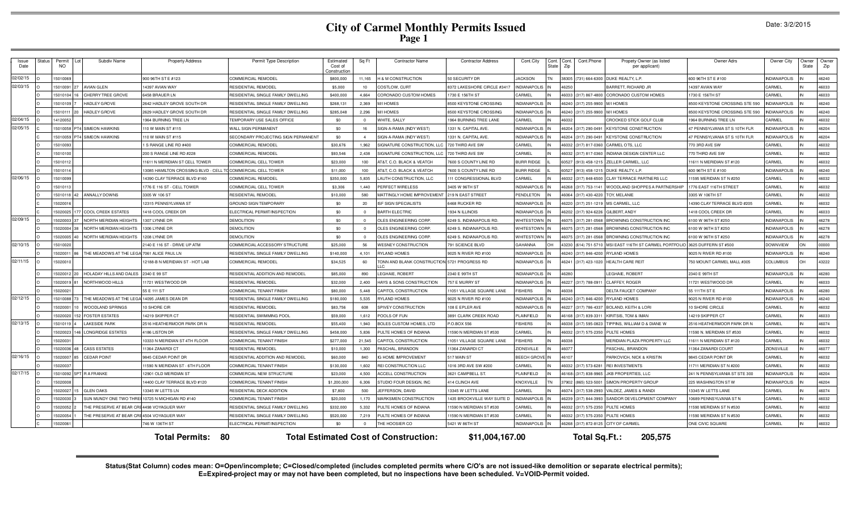# **City of Carmel Monthly Permits Issued Page 1**

| Issue<br>Date | <b>Status</b> | Permit<br>NO.        |                 | Subdiv Name                              | <b>Property Address</b>                     | Permit Type Description                                      | Estimated<br>Cost of<br>Construction | Sa Ft               | <b>Contractor Name</b>                          | <b>Contractor Address</b>                         | Cont.City                          | Cont.<br>State | Cont.<br>Zip | Cont.Phone                                   | Propety Owner (as listed<br>per applicant)          | Owner Adrs                                    | Owner City                                | Owner<br>State | Owner<br>Zip   |
|---------------|---------------|----------------------|-----------------|------------------------------------------|---------------------------------------------|--------------------------------------------------------------|--------------------------------------|---------------------|-------------------------------------------------|---------------------------------------------------|------------------------------------|----------------|--------------|----------------------------------------------|-----------------------------------------------------|-----------------------------------------------|-------------------------------------------|----------------|----------------|
| 02/02/15      |               | 15010069             |                 |                                          | 900 96TH ST E #123                          | COMMERCIAL REMODEL                                           | \$800,000                            | 11,165              | <b>H &amp; M CONSTRUCTION</b>                   | 50 SECURITY DR                                    | <b>JACKSON</b>                     |                | 38305        | (731) 664-6300                               | DUKE REALTY, L.P.                                   | 600 96TH ST E #100                            | <b>INDIANAPOLIS</b>                       |                | 46240          |
| 02/03/15      |               | 15010091             |                 | <b>AVIAN GLEN</b>                        | 4397 AVIAN WAY                              | RESIDENTIAL REMODEI                                          | \$5,000                              | 10                  | COSTLOW, CURT                                   | 8372 LAKESHORE CIRCLE #3417                       | <b>INDIANAPOLIS</b>                |                | 46250        |                                              | BARRETT, RICHARD JF                                 | 14397 AVIAN WAY                               | CARMEL                                    |                | 46033          |
|               |               | 15010104             |                 | <b>CHERRY TREE GROVE</b>                 | 6458 BRAUFR LN                              | RESIDENTIAL SINGLE FAMILY DWELLING                           | \$400,000                            | 4,664               | <b>CORONADO CUSTOM HOMES</b>                    | 1730 E 156TH ST                                   | <b>ARMEL</b>                       |                |              | 46033 (317) 867-4800                         | CORONADO CUSTOM HOMES                               | 1730 F 156TH ST                               | <b>ARMEL</b>                              |                | 46033          |
|               |               | 15010109             |                 | <b>HADLEY GROVE</b>                      | 2642 HADLEY GROVE SOUTH DR                  | RESIDENTIAL SINGLE FAMILY DWELLING                           | \$268,131                            | 2.369               | <b>M/I HOMES</b>                                | 8500 KEYSTONE CROSSING                            | <b>INDIANAPOLIS</b>                |                |              | 46240 (317) 255-9900                         | M/I HOMES                                           | 8500 KEYSTONE CROSSING STE 590                | <b>INDIANAPOLIS</b>                       |                | 46240          |
|               |               | 1501011              | 20              | <b>HADLEY GROVE</b>                      | 2629 HADLEY GROVE SOUTH DR                  | RESIDENTIAL SINGLE FAMILY DWELLING                           | \$285.048                            | 2.296               | <b>M/I HOMES</b>                                | 8500 KEYSTONE CROSSING                            | <b>INDIANAPOLIS</b>                |                |              | 46240 (317) 255-9900                         | <b>M/I HOMES</b>                                    | 8500 KEYSTONE CROSSING STE 590                | <b>NDIANAPOLIS</b>                        |                | 46240          |
| 02/04/15      |               | 14120052             |                 |                                          | 964 BURNING TREE LN                         | TEMPORARY USE SALES OFFICE                                   | \$0                                  | $\Omega$            | <b>VHITE, SALLY</b>                             | 1964 BURNING TREE LANE                            | CARMEL                             |                | 46032        |                                              | CROOKED STICK GOLF CLUB                             | 1964 BURNING TREE LN                          | CARMEL                                    |                | 46032          |
| 02/05/15      |               | 1501005              |                 | T4 SIMEON HAWKINS                        | 10 W MAIN ST #115                           | WALL SIGN PERMANENT                                          | \$0                                  | 16                  | SIGN-A-RAMA (INDY WEST)                         | 1331 N. CAPITAL AVE                               | <b>INDIANAPOLIS</b>                |                | 46204        | 317) 290-049                                 | <b>KEYSTONE CONSTRUCTION</b>                        | 47 PENNSYLVANIA ST S 10TH FLF                 | <b>NDIANAPOLIS</b>                        |                | 46204          |
|               |               | 1501005              |                 | <b>T4 SIMEON HAWKINS</b>                 | 10 W MAIN ST #115                           | SECONDARY PROJECTING SIGN PERMANENT                          | \$0                                  | $\overline{4}$      | SIGN-A-RAMA (INDY WEST)                         | 1331 N. CAPITAL AVE                               | NDIANAPOLIS                        |                |              | 46204 (317) 290-0491                         | <b>KEYSTONE CONSTRUCTION</b>                        | 47 PENNSYLVANIA ST S 10TH FLR                 | <b>NDIANAPOLIS</b>                        |                | 46204          |
|               |               | 15010093             |                 |                                          | S RANGE LINE RD #400                        | COMMERCIAL REMODEL                                           | \$30,676                             | 1.962               | SIGNATURE CONSTRUCTION, LLC                     | 720 THIRD AVE SW                                  | CARMEL                             |                |              | 46032 (317) 817-0360                         | CARMEL OTS, LLC                                     | 770 3RD AVE SW                                | CARMEL                                    |                | 46032          |
|               |               | 1501010              |                 |                                          | 200 S RANGE LINE RD #228                    | COMMERCIAL REMODEL                                           | \$93,546                             | 2.438               | SIGNATURE CONSTRUCTION, LLC                     | 720 THIRD AVE SW                                  | CARMEL                             |                |              | 46032 (317) 817-0360                         | INDIANA DESIGN CENTER LLC                           | 770 THIRD AVE SW                              | CARMEL                                    |                | 46032          |
|               |               | 1501011              |                 |                                          | 1611 N MERIDIAN ST CELL TOWER               | COMMERCIAL CELL TOWER                                        | \$23,000                             | 100                 | AT&T, C.O. BLACK & VEATCH                       | 7600 S COUNTY LINE RD                             | <b>BURR RIDGE</b>                  |                |              | 60527 (913) 458-121                          | ZELLER CARMEL, LLC                                  | 11611 N MERIDIAN ST #120                      | CARMEL                                    |                | 46032          |
|               |               | 1501011              |                 |                                          | 3085 HAMILTON CROSSING BLVD - CELL          | <b>COMMERCIAL CELL TOWER</b>                                 | \$11,000                             | 100                 | AT&T, C.O. BLACK & VEATCH                       | 7600 S COUNTY LINE RD                             | <b>BURR RIDGE</b>                  |                |              | 60527 (913) 458-121                          | DUKE REALTY, L.P.                                   | 600 96TH ST E #100                            | <b>INDIANAPOLIS</b>                       |                | 46240          |
| 02/06/15      |               | 1501009              |                 |                                          | 4390 CLAY TERRACE BLVD #160                 | COMMERCIAL REMODEL                                           | \$350,000                            | 5,835               | AUTH CONSTRUCTION, LLC                          | 11 CONGRESSIONAL BLVD                             | ARMEL                              |                |              | 46032 (317) 848-6500                         | CLAY TERRACE PARTNERS LLC                           | 11595 MERIDIAN ST N #250                      | CARMEL                                    |                | 46032          |
|               |               | 1501011              |                 |                                          | 776 E 116 ST - CELL TOWER                   | COMMERCIAL CELL TOWER                                        | \$3,306                              | 1 440               | <b>ERFECT WIRELESS</b>                          | 3405 W 96TH ST                                    | NDIANAPOLIS                        |                |              | 46268 (317) 753-1141                         | WOODLAND SHOPPES A PARTNERSHIP                      | 1776 EAST 116TH STREET                        | CARMEL                                    |                | 46032          |
|               |               | 15010118             |                 | 42 ANNALLY DOWNS                         | 3305 W 106 ST                               | RESIDENTIAL REMODEI                                          | \$10,000                             | 580                 | <b>MATTINGLY HOME IMPROVEMENT</b>               | 219 N EAST STREET                                 | PENDLETON                          |                |              | 46064 (317) 430-4220                         | TOY, MELANIE                                        | 3305 W 106TH ST                               | CARMEL                                    |                | 46032          |
|               |               | 1502001              |                 |                                          | 2315 PENNSYLVANIA ST                        | <b>GROUND SIGN TEMPORARY</b>                                 | \$0                                  | 20                  | <b>ISF SIGN SPECIALISTS</b>                     | 6468 RUCKER RD                                    | <b>INDIANAPOLIS</b>                |                |              | 46220 (317) 251-121                          | MS CARMEL, LLC                                      | 14390 CLAY TERRACE BLVD #205                  | CARMEL                                    |                | 46032          |
|               |               | 1502002              |                 | 77 COOL CREEK ESTATES                    | 418 COOL CREEK DR                           | ELECTRICAL PERMIT/INSPECTION                                 | \$0                                  | $\Omega$            | <b>BARTH ELECTRIC</b>                           | 1934 N ILLINOIS                                   | <b>INDIANAPOLIS</b>                |                |              | 46202 (317) 924-6226                         | GILBERT, ANDY                                       | 1418 COOL CREEK DR                            | CARMEL                                    |                | 46033          |
| 02/09/15      |               | 15020003             |                 | NORTH MERIDIAN HEIGHT                    | 307 LYNNE DR                                | <b>DEMOLITION</b>                                            | \$0                                  | $\Omega$            | OLES ENGINEERING CORP                           | <b>3249 S. INDIANAPOLIS RD</b>                    | <b>NHITESTOWN</b>                  |                | 46075        | (317) 281-0568                               | BROWNING CONSTRUCTION INC                           | 6100 W 96TH ST #250                           | <b>NDIANAPOLIS</b>                        |                | 46278          |
|               |               | 5020004              |                 | NORTH MERIDIAN HEIGHT                    | 306 LYNNE DR                                | <b>DEMOLITION</b>                                            | \$0                                  | $\Omega$            | <b>OLES ENGINEERING CORP</b>                    | <b>3249 S. INDIANAPOLIS RD</b>                    | <b>NHITESTOWN</b>                  |                | 46075        | (317) 281-0568                               | BROWNING CONSTRUCTION INC                           | 6100 W 96TH ST #250                           | <b>INDIANAPOLIS</b>                       |                | 46278          |
|               |               | 15020005             | 40              | NORTH MERIDIAN HEIGHT                    | 208 LYNNE DR                                | <b>DEMOLITION</b>                                            | \$0                                  | $\overline{0}$      | OLES ENGINEERING CORP                           | 6249 S. INDIANAPOLIS RD                           | NHITESTOWN                         |                |              | 46075 (317) 281-0568                         | BROWNING CONSTRUCTION INC                           | 6100 W 96TH ST #250                           | INDIANAPOLIS                              |                | 46278          |
| 02/10/15      |               | 15010020             |                 |                                          | 2140 E 116 ST - DRIVE UP ATM                | COMMERCIAL ACCESSORY STRUCTURE                               | \$25,000                             | 56                  | <b>WESNEY CONSTRUCTION</b>                      | 791 SCIENCE BLVD                                  | GAHANNA                            |                |              | 43230 (614) 751-571                          | MSI EAST 116TH ST CARMEL PORTFOLIO                  | 3625 DUFFERN ST #500                          | <b>DOWNVIEW</b>                           |                | 00000          |
|               |               | 1502001              | 86              | THE MEADOWS AT THE LE                    | 7061 ALICE PAUL LN                          | RESIDENTIAL SINGLE FAMILY DWELLING                           | \$140,000                            | 4,101               | RYLAND HOMES                                    | 9025 N RIVER RD #100                              | <b>INDIANAPOLIS</b>                |                |              | 46240 (317) 846-4200                         | RYLAND HOMES                                        | 9025 N RIVER RD #100                          | <b>INDIANAPOLIS</b>                       |                | 46240          |
| 02/11/15      |               | 1502001              |                 |                                          | 2188-B N MERIDIAN ST - HOT LAB              | COMMERCIAL REMODEL                                           | \$34,525                             | 60                  | FONN AND BLANK CONSTRUCTION 5721 PROGRESS RD    |                                                   | <b>INDIANAPOLIS</b>                |                | 46241        | (317) 423-1020                               | <b>HEALTH CARE REIT</b>                             | 750 MOUNT CARMEL MALL #305                    | COLUMBUS                                  |                | 43222          |
|               |               | 1502001              |                 | HOLADAY HILLS AND DALES                  | 2340 E 99 ST                                | RESIDENTIAL ADDITION AND REMODEL                             | \$85,000                             | 890                 | EGHAIE, ROBERT                                  | 2340 E 99TH ST                                    | <b>INDIANAPOLIS</b>                |                | 46280        |                                              | LEGHAIE, ROBERT                                     | 2340 E 99TH ST                                | <b>INDIANAPOLIS</b>                       |                | 46280          |
|               |               | 1502001              |                 | NORTHWOOD HILLS                          | 1721 WESTWOOD DR                            | RESIDENTIAL REMODEI                                          | \$32,000                             | 2.400               | HAYS & SONS CONSTRUCTION                        | 757 E MURRY ST                                    | <b>INDIANAPOLIS</b>                |                |              | 46227 (317) 788-091                          | <b>CLAFFEY, ROGEF</b>                               | 11721 WESTWOOD DR                             | CARMEL                                    |                | 46033          |
|               |               | 502002               |                 |                                          | 55 E 111 ST                                 | COMMERCIAL TENANT FINISH                                     | \$80,000                             | 5.448               | CAPITOL CONSTRUCTION                            | 1051 VILLAGE SQUARE LANE                          | <b>FISHERS</b>                     |                | 46038        |                                              | DELTA FAUCET COMPANY                                | 55 111TH ST                                   | <b>INDIANAPOLIS</b>                       |                | 46280          |
| 02/12/15      |               | 15010088             |                 | THE MEADOWS AT THE LE                    | 4095 JAMES DEAN DR                          | RESIDENTIAL SINGLE FAMILY DWELLING                           | \$180,000                            | 5.535               | <b>YEAND HOMES</b>                              | 9025 N RIVER RD #100                              | NDIANAPOLIS                        |                |              | 46240 (317) 846-4200                         | <b>RYLAND HOMES</b>                                 | 9025 N RIVER RD #100                          | <b>NDIANAPOLIS</b>                        |                | 46240          |
|               |               | 15020001             | 10 <sup>1</sup> | <b>WOODLAND SPRINGS</b>                  | 0 SHORE CIR                                 | RESIDENTIAL REMODEI                                          | \$83,756                             | 608                 | SPIVEY CONSTRUCTION                             | 108 E EPLER AVE                                   | <b>INDIANAPOLIS</b>                |                |              | 46227 (317) 786-4337                         | <b>BOLAND, KEITH &amp; LOR</b>                      | 10 SHORE CIRCLE                               | CARMEL                                    |                | 46032          |
|               |               | 15020020             |                 | <b>152 FOSTER ESTATES</b>                | 4219 SKIPPER CT                             | RESIDENTIAL SWIMMING POOL                                    | \$59,000                             | 1.612               | POOLS OF FUN                                    | 3891 CLARK CREEK ROAD                             | PLAINFIELD                         |                |              | 46168 (317) 839-331                          | KIRITSIS, TOM & IMAN                                | 14219 SKIPPER CT                              | CARMEL                                    |                | 46033          |
| 02/13/15      |               | 1501011              |                 | <b>LAKESIDE PARK</b>                     | 2516 HEATHERMOOR PARK DR N                  | RESIDENTIAL REMODEI                                          | \$55,400                             | 1.940               | BOLES CUSTOM HOMES, LTD                         | P.O.BOX 556                                       | <b>EISHERS</b>                     |                |              | 46038 (317) 595-0823                         | TIPPINS. WILLIAM D & DIANE W                        | 2516 HEATHERMOOR PARK DR N                    | CARMEL                                    |                | 46074          |
|               |               | 1502002              |                 | <b>46 LONGRIDGE ESTATES</b>              | 186 LISTON DF                               | RESIDENTIAL SINGLE FAMILY DWELLING                           | \$458,000                            | 5.836               | <b>PULTE HOMES OF INDIANA</b>                   | 1590 N MERIDIAN ST #530                           | CARMEL                             |                | 46032        | (317) 575-235                                | PULTE HOMES                                         | 11590 N. MERIDIAN ST #530                     | CARMEL                                    |                | 46032          |
|               |               | 1502003              |                 |                                          | 0333 N MERIDIAN ST 4TH FLOOR                | COMMERCIAL TENANT FINISH                                     | \$277,000                            | 21.545              | CAPITOL CONSTRUCTION                            | 1051 VILLAGE SQUARE LANE                          | <b>ISHERS</b>                      |                | 46038        |                                              | <b>MERIDIAN PLAZA PROPERTY LLC</b>                  | 11611 N MERIDIAN ST #120                      | <b>ARMEL</b>                              |                | 46032          |
| 02/16/15      |               | 15020036             |                 | 48 CASS ESTATES                          | 1364 ZANARDI CT                             | RESIDENTIAL REMODEI                                          | \$10,000                             | 1,300               | PASCHAL, BRANDON                                | 11364 ZANARDI CT                                  | <b>ZIONSVILLE</b>                  |                | 46077        |                                              | PASCHAL, BRANDON                                    | 1364 ZANARDI COURT                            | ZIONSVILLE                                |                | 46077          |
|               |               | 15020007             | 85              | <b>CEDAR POINT</b>                       | 9845 CEDAR POINT DR                         | RESIDENTIAL ADDITION AND REMODEL                             | \$60,000                             | 840                 | <b>G HOME IMPROVEMENT</b>                       | 517 MAIN ST                                       | <b>BEECH GROV</b><br><b>CARMEL</b> |                | 46107        |                                              | PARKOVICH, NICK & KRISTIN                           | 9845 CEDAR POINT DR                           | CARMEL<br>CARMEL                          |                | 46032          |
| 02/17/15      |               | 15020037             |                 | 5PT R A FRANKE                           | 1590 N MERIDIAN ST - 6TH FLOOR              | COMMERCIAL TENANT FINISH                                     | \$130,000                            | 1.602               | REI CONSTRUCTION LLC                            | 1016 3RD AVE SW #200                              |                                    |                |              | 46032 (317) 573-628                          | <b>REI INVESTMENTS</b>                              | 11711 MERIDIAN ST N #200                      |                                           |                | 46032          |
|               |               | 1501009              |                 |                                          | 2901 OLD MERIDIAN ST                        | COMMERCIAL NEW STRUCTURE                                     | \$23,000                             | 4.500               | <b>ACCELL CONSTRUCTION</b>                      | 3621 CAMPBELL ST                                  | PLAINFIELD                         |                |              | 46168- (317) 838-996                         | JKB PROPERTIES, LLC                                 | 241 N PENNSYLVANIA ST STE 300                 | <b>INDIANAPOLIS</b><br><b>NDIANAPOLIS</b> |                | 46204<br>46204 |
|               |               | 1502000              |                 |                                          | 4400 CLAY TERRACE BLVD #120                 | COMMERCIAL TENANT FINISH                                     | \$1,200,000                          | 6,306               | TUDIO FOUR DESIGN, INC                          | 414 CLINCH AVE                                    | <b>KNOXVILLE</b>                   |                | 37902        | (865) 523-500                                | SIMON PROPERTY GROUI                                | 225 WASHINGTON STV                            |                                           |                |                |
|               |               | 15020027<br>15020030 |                 | <b>GLEN OAKS</b><br>SUN MUNDY ONE TWO TH | 3345 W LETTS LN<br>10725 N MICHIGAN RD #140 | RESIDENTIAL DECK ADDITION<br><b>COMMERCIAL TENANT FINISH</b> | \$7,800<br>\$20,000                  | 500<br>1.170        | EFFERSON, DAVID<br><b>JARKSMEN CONSTRUCTION</b> | 13345 W LETTS LANE<br>1435 BROOKVILLE WAY SUITE D | CARMEL<br><b>INDIANAPOLIS</b>      |                |              | 46074 (317) 538-2993<br>46239 (317) 844-3993 | VALDEZ, JAMES & RANDI<br>SANDOR DEVELOPMENT COMPANY | 13345 W LETTS LANE<br>10689 PENNSYLVANIA ST N | CARMEL<br>CARMEL                          |                | 46074<br>46032 |
|               |               | 1502005              |                 | THE PRESERVE AT BEAR O                   | 4498 VOYAGUER WAY                           | RESIDENTIAL SINGLE FAMILY DWELLING                           | \$332,000                            | 5.332               | PULTE HOMES OF INDIANA                          | 1590 N MERIDIAN ST #530                           | CARMEL                             |                |              | 46032 (317) 575-2350                         | PULTE HOMES                                         | 11590 MERIDIAN ST N #530                      | CARMEL                                    |                | 46032          |
|               |               | 1502005              |                 | THE PRESERVE AT BEAR C                   | 4504 VOYAGUER WAY                           | RESIDENTIAL SINGLE FAMILY DWELLING                           | \$520,000                            |                     |                                                 | 1590 N MERIDIAN ST #530                           | CARMEL                             |                |              | 46032 (317) 575-2350                         | PULTE HOMES                                         | 11590 MERIDIAN ST N #530                      | CARMEL                                    |                | 46032          |
|               |               | 502006               |                 |                                          | 46 W 136TH ST                               | ELECTRICAL PERMIT/INSPECTION                                 | \$0                                  | 7,219<br>$^{\circ}$ | PULTE HOMES OF INDIANA<br>THE HOOSIER CO        | 5421 W 86TH ST                                    | <b>INDIANAPOLIS</b>                |                | 46268        | (317) 872-8125                               | <b>CITY OF CARMEL</b>                               | ONE CIVIC SQUARE                              | CARMEL                                    |                | 46032          |
|               |               |                      |                 |                                          |                                             |                                                              |                                      |                     |                                                 |                                                   |                                    |                |              |                                              |                                                     |                                               |                                           |                |                |
|               |               |                      |                 |                                          | 80<br><b>Total Permits:</b>                 |                                                              |                                      |                     | <b>Total Estimated Cost of Construction:</b>    | \$11,004,167.00                                   |                                    |                |              | Total Sq.Ft.:                                | 205,575                                             |                                               |                                           |                |                |

Status(Stat Column) codes mean: O=Open/incomplete; C=Closed/completed (includes completed permits where C/O's are not issued-like demolition or separate electrical permits);<br>E=Expired-project may or may not have been compl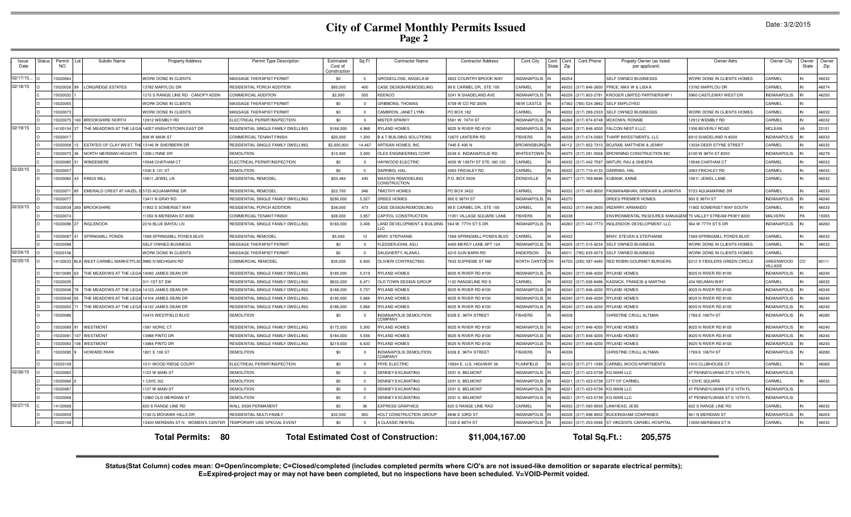# **City of Carmel Monthly Permits Issued Page 2**

|  | Date: 3/2/2015 |
|--|----------------|
|--|----------------|

| Issue<br>Date | <b>Status</b> | Permit<br><b>NO</b> | Subdiv Name                                           | <b>Property Address</b>              | Permit Type Description            | Estimated<br>Cost of<br>Construction | Sq Ft          | <b>Contractor Name</b>                           | <b>Contractor Address</b>   | Cont.City            | Cont.<br>Cont.<br><b>State</b><br>Zip | Cont.Phone    | Propety Owner (as listed<br>per applicant)                 | Owner Adrs                               | Owner City                        | Owner<br>State | Owner<br>Zip |
|---------------|---------------|---------------------|-------------------------------------------------------|--------------------------------------|------------------------------------|--------------------------------------|----------------|--------------------------------------------------|-----------------------------|----------------------|---------------------------------------|---------------|------------------------------------------------------------|------------------------------------------|-----------------------------------|----------------|--------------|
| 02/17/15.     |               | 5020064             |                                                       | WORK DONE IN CLIENTS                 | MASSAGE THERAPIST PERMIT           | \$0                                  | $^{\circ}$     | GROSECLOSE, ANGELA M                             | 823 COUNTRY BROOK WAY       | NDIANAPOLIS          | 46254                                 |               | SELF OWNED BUSINESSS                                       | <b><i>NORK DONE IN CLIENTS HOMES</i></b> | CARMEL                            |                | 46032        |
| 02/18/15      |               | 5020026 99          | <b>LONGRIDGE ESTATES</b>                              | 13782 MARYLOU DR                     | RESIDENTIAL PORCH ADDITION         | \$85,000                             | 400            | CASE DESIGN/REMODELING                           | 99 E CARMEL DR., STE 100    | <b>ARMEL</b>         | 46032                                 | 17) 846-2600  | PRICE, MAX W & LISAA                                       | 13782 MARYLOU DR                         | CARMEL                            |                | 46074        |
|               |               | 5020032             |                                                       | 1215 S RANGE LINE RD - CANOPY ADDN   | OMMERCIAL ADDITION                 | \$2,000                              | 505            | KEENCO                                           | 3241 N SHADELAND AVE        | NDIANAPOLIS          | 46226                                 | 317) 803-2781 | KROGER LIMITED PARTNERSHIP I                               | 5960 CASTLEWAY WEST DF                   | NDIANAPOLIS                       |                | 46250        |
|               |               | 5020055             |                                                       | WORK DONE IN CLIENTS                 | MASSAGE THERAPIST PERMIT           | \$0                                  | $\overline{0}$ | GRIBBONS, THOMAS                                 | 1709 W CO RD 200N           | <b>NEW CASTLE</b>    | 47362                                 | 765) 524-3862 | <b>SELF EMPLOYED</b>                                       |                                          | CARMEL                            |                |              |
|               |               | 5020073             |                                                       | WORK DONE IN CLIENTS                 | MASSAGE THERAPIST PERMIT           | \$0                                  | $\Omega$       | CAMBRON, JANET LYNN                              | PO BOX 182                  | <b>CARMEL</b>        | 46032                                 | 317) 289-2333 | <b>SELF OWNED BUSINESSS</b>                                | WORK DONE IN CLIENTS HOMES               | CARMEL                            | IN             | 46032        |
|               |               | 5020075             | 160 BROOKSHIRE NORTH                                  | 12912 WEMBLY RD                      | ELECTRICAL PERMIT/INSPECTION       | \$0                                  | $\Omega$       | <b>MISTER SPARKY</b>                             | 5561 W. 74TH ST             | <b>INDIANAPOLIS</b>  | 46268                                 | 317) 874-8748 | MCKOWN, RONNIE                                             | 12912 WEMBLY RD                          | CARMEL                            |                | 46032        |
| 02/19/15      |               | 4100104             | THE MEADOWS AT THE LI                                 | 14057 KNIGHTSTOWN EAST DR            | RESIDENTIAL SINGLE FAMILY DWELLING | \$168,000                            | 4.968          | <b>RYLAND HOMES</b>                              | 025 N RIVER RD #100         | <b>NDIANAPOLIS</b>   | 46240                                 | 17) 846-4200  | <b>FALCON NEST II LLC</b>                                  | 1356 BEVERLY ROAD                        | <b>MCLEAN</b>                     |                | 22101        |
|               |               | 5020017             |                                                       | 808 W MAIN ST                        | COMMERCIAL TENANT FINISH           | \$20,000                             | 1,200          | & T BUILDING SOLUTIONS                           | 2675 LANTERN RD             | <b>ISHERS</b>        | 46038                                 | 17) 674-5060  | THARP INVESTMENTS, LLC                                     | 6910 SHADELAND N #200                    | NDIANAPOLIS                       |                | 46032        |
|               |               | 5020058 12          | ESTATES OF CLAY WEST, THE 13146 W SHERBERN DR         |                                      | RESIDENTIAL SINGLE FAMILY DWELLING | \$2,000,000                          | 14,467         | ARTISAN HOMES, INC                               | 7445 E 400 N                | <b>BROWNSBURG IN</b> | 46112                                 | 17) 852-7310  | BOJRAB, MATTHEW & JENNY                                    | 13034 DEER STYNE STREET                  | CARMEL                            |                | 46032        |
|               |               | 5020072 36          | NORTH MERIDIAN HEIGHTS                                | 1309 LYNNE DR                        | <b>DEMOLITION</b>                  | \$10,000                             | 3.000          | OLES ENGINEERING CORF                            | 6249 S. INDIANAPOLIS RD     | WHITESTOWN           | 46075                                 | 317) 281-0568 | BROWNING CONSTRUCTION INC                                  | 6100 W 96TH ST #250                      | <b>INDIANAPOLIS</b>               |                | 46278        |
|               |               | 5020085 3           | WINDEMERE                                             | 10548 CHATHAM CT                     | ELECTRICAL PERMIT/INSPECTION       | \$0                                  | $\Omega$       | HAYWOOD ELECTRIC                                 | 1000 W 106TH ST STE 160-120 | CARMEL               | 46032                                 | 317) 442-7597 | MATURI, RAJ & DHEEPA                                       | 10548 CHATHAM CT                         | CARMEL                            |                | 46032        |
| 02/20/15      |               | 5020057             |                                                       | 1530 E 101 ST                        | <b>DEMOLITION</b>                  | \$0                                  | $\Omega$       | DARRING, HAL                                     | 063 FINCHLEY RD             | CARMEL               | 46032                                 | 317) 710-4133 | DARRING, HAL                                               | 2063 FINCHLEY RD                         | CARMEL                            |                | 46032        |
|               |               | 5020060 43          | <b>KINGS MILL</b>                                     | 10611 JEWEL LN                       | RESIDENTIAL REMODEL                | \$50,484                             | 493            | MAXSON REMODELING<br>CONSTRUCTION                | P.O. BOX 5039               | <b>ZIONSVILLE</b>    | 46077                                 | 317) 769-6696 | EUBANK, ANNIE                                              | 10611 JEWEL LANE                         | CARMEL                            |                | 46032        |
|               |               | 5020071             | EMERALD CREST AT HAZEL D                              | <b>5723 AQUAMARINE DR</b>            | RESIDENTIAL REMODEL                | \$23,700                             | 946            | <b>TIMOTHY HOMES</b>                             | PO BOX 3422                 | CARMEL               | 46032                                 | 317) 465-9000 | PADMANABHAN, SRIDHAR & JAYANTHI                            | 5723 AQUAMARINE DR                       | CARMEL                            |                | 46033        |
|               |               | 5020077             |                                                       | 13411 N GRAY RD                      | ESIDENTIAL SINGLE FAMILY DWELLING  | \$290,000                            | 5,527          | <b>DREES HOMES</b>                               | 00 E 96TH ST                | <b>NDIANAPOLIS</b>   | 46270                                 |               | DREES PREMIER HOMES                                        | 900 E 96TH ST                            | NDIANAPOLIS                       |                | 46240        |
| 02/23/15      |               |                     | 5020039 260 BROOKSHIRE                                | 1902 S SOMERSET WAY                  | RESIDENTIAL PORCH ADDITION         | \$38,000                             | 473            | CASE DESIGN/REMODELING                           | 99 E CARMEL DR., STE 100    | CARMEL               | 46032                                 | 317) 846-2600 | <b>IRIZARRY, ARMANDO</b>                                   | 1902 SOMERSET WAY SOUTH                  | CARMEL                            |                | 46033        |
|               |               | 5020074             |                                                       | 11350 N MERIDIAN ST #200             | COMMERCIAL TENANT FINISH           | \$38,000                             | 3,957          | CAPITOL CONSTRUCTION                             | 1051 VILLAGE SQUARE LANE    | <b>ISHERS</b>        | 46038                                 |               | ENVIRONMENTAL RESOURCE MANAGEMI 75 VALLEY STREAM PKWY #200 |                                          | <b>MALVERN</b>                    |                | 19355        |
|               |               | 5020096 27          | <b>INGLENOOK</b>                                      | 2216 BLUE BAYOU LN                   | RESIDENTIAL SINGLE FAMILY DWELLING | \$160,000                            | 3,406          | LAND DEVELOPMENT & BUILDING<br>$\overline{1}$ C. | 564 W. 77TH ST S DR         | <b>INDIANAPOLIS</b>  | 46260                                 |               | 317) 442-7773 INGLENOOK DEVELOPMENT, LLC                   | 564 W 77TH ST S DR                       | <b>NDIANAPOLIS</b>                |                | 46260        |
|               |               | 5020097 41          | <b>SPRINGMILL PONDS</b>                               | 1569 SPRINGMILL PONDS BLVD           | RESIDENTIAL REMODEL                | \$5,000                              | 13             | <b>BRAY, STEPHANIE</b>                           | 569 SPRINGMILL PONDS BLVD   | <b>CARMEL</b>        | 46032                                 |               | <b>BRAY, STEVEN &amp; STEPHANIE</b>                        | 1569 SPRINGMILL PONDS BLVD               | CARMEL                            |                | 46032        |
|               |               | 5020098             |                                                       | SELF OWNED BUSINESS                  | MASSAGE THERAPIST PERMIT           | \$0                                  | $\Omega$       | LEDDERJOHN, ASLI                                 | 450 MERCY LANE APT 124      | NDIANAPOLIS          | 46205                                 | 317) 515-9234 | <b>SELF OWNED BUSINESS</b>                                 | <b><i>NORK DONE IN CLIENTS HOMES</i></b> | CARMEL                            |                | 46032        |
| 02/24/15      |               | 5020106             |                                                       | WORK DONE IN CLIENTS                 | MASSAGE THERAPIST PERMIT           | \$0                                  | $\Omega$       | DAUGHERTY, ALANA L                               | 4315 GUN BARN RD            | ANDERSON             | 46011                                 | 765) 635-0073 | SELF OWNED BUSINESS                                        | WORK DONE IN CLIENTS HOMES               | CARMEL                            |                |              |
| 02/25/15      |               |                     | 4120033 BLK WEST CARMEL MARKETPLAC 9965 N MICHIGAN RD |                                      | COMMERCIAL REMODEL                 | \$35,000                             | 6,830          | OLIVIERI CONTRACTING                             | 633 SUPREME ST NW           | NORTH CANTOLOH       | 44720                                 | 330) 397-4480 | RED ROBIN GOURMET BURGERS                                  | 6312 S FIDDLERS GREEN CIRCLE             | <b>GREENWOOD</b><br><b>ILLAGE</b> | CO             | 80111        |
|               |               | 15010090 63         | THE MEADOWS AT THE LEGA 14092 JAMES DEAN DR           |                                      | RESIDENTIAL SINGLE FAMILY DWELLING | \$180,000                            | 5,519          | RYLAND HOMES                                     | 9025 N RIVER RD #100        | <b>INDIANAPOLIS</b>  | 46240                                 |               | 317) 846-4200 RYLAND HOMES                                 | 9025 N RIVER RD #100                     | NDIANAPOLIS                       |                | 46240        |
|               |               | 5020035             |                                                       | 311 1ST ST SW                        | RESIDENTIAL SINGLE FAMILY DWELLING | \$632,000                            | 6.471          | OLD TOWN DESIGN GROUF                            | 132 RANGELINE RD S          | CARMEL               | 46032                                 |               | 17) 626-8486 KASNICK, FRANCIS & MARTHA                     | 434 NEUMAN WAY                           | CARMEL                            |                | 46032        |
|               |               | 5020046 7           | THE MEADOWS AT THE LEGA 14123 JAMES DEAN DR           |                                      | RESIDENTIAL SINGLE FAMILY DWELLING | \$188,000                            | 5,737          | <b>RYLAND HOMES</b>                              | 025 N RIVER RD #100         | <b>INDIANAPOLIS</b>  | 46240                                 |               | 17) 846-4200 RYLAND HOMES                                  | 9025 N RIVER RD #100                     | NDIANAPOLIS                       |                | 46240        |
|               |               | 5020048 65          | THE MEADOWS AT THE LEGA 14104 JAMES DEAN DR           |                                      | RESIDENTIAL SINGLE FAMILY DWELLING | \$190,000                            | 5,666          | YLAND HOMES                                      | 025 N RIVER RD #100         | NDIANAPOLIS          | 46240                                 | 17) 846-4200  | RYLAND HOMES                                               | 9025 N RIVER RD #100                     | <b>VDIANAPOLIS</b>                |                | 46240        |
|               |               | 5020050             | THE MEADOWS AT THE LEGA                               | 14132 JAMES DEAN DR                  | RESIDENTIAL SINGLE FAMILY DWELLING | \$186,000                            | 5.666          | YLAND HOMES                                      | 025 N RIVER RD #100         | NDIANAPOLIS          | 46240                                 | 17) 846-4200  | <b>RYLAND HOMES</b>                                        | 9025 N RIVER RD #100                     | <b>NDIANAPOLIS</b>                |                | 46240        |
|               |               | 5020086             |                                                       | 10415 WESTFIELD BLVD                 | <b>DEMOLITION</b>                  | \$0                                  | $\overline{0}$ | NDIANAPOLIS DEMOLITION<br>OMPANY:                | 3326 E. 96TH STREET         | <b>ISHERS</b>        | 46038                                 |               | CHRISTINE CRULL ALTMAN                                     | 1769 E 106TH ST                          | NDIANAPOLIS                       |                | 46280        |
|               |               | 5020089             | <b>WESTMONT</b>                                       | 1581 NORIC CT                        | RESIDENTIAL SINGLE FAMILY DWELLING | \$172,000                            | 5.300          | <b>RYLAND HOMES</b>                              | 025 N RIVER RD #100         | <b>INDIANAPOLIS</b>  | 46240                                 | 317) 846-4200 | <b>RYLAND HOMES</b>                                        | 9025 N RIVER RD #100                     | <b>NDIANAPOLIS</b>                |                | 46240        |
|               |               |                     | 5020091 107 WESTMONT                                  | 3988 PINTO DR                        | RESIDENTIAL SINGLE FAMILY DWELLING | \$184,000                            | 5,556          | YLAND HOMES                                      | 025 N RIVER RD #100         | NDIANAPOLIS          | 46240                                 | 317) 846-4200 | <b>RYLAND HOMES</b>                                        | 9025 N RIVER RD #100                     | <b>NDIANAPOLIS</b>                |                | 46240        |
|               |               | 5020093             | <b>WESTMONT</b>                                       | 13984 PINTO DR                       | RESIDENTIAL SINGLE FAMILY DWELLING | \$219,000                            | 6,630          | YLAND HOMES                                      | 025 N RIVER RD #100         | INDIANAPOLIS         | 46240                                 | 317) 846-4200 | RYLAND HOMES                                               | 9025 N RIVER RD #100                     | NDIANAPOLIS                       |                | 46240        |
|               |               | 5020095             | HOWARD PARK                                           | 1821 E 106 ST                        | <b>DEMOLITION</b>                  | \$0                                  | $\overline{0}$ | NDIANAPOLIS DEMOLITION<br><b>COMPANY</b>         | 3326 E. 96TH STREET         | <b>ISHERS</b>        | 46038                                 |               | CHRISTINE CRULL ALTMAN                                     | 1769 E 106TH ST                          | NDIANAPOLIS                       |                | 46280        |
|               |               | 5020109             |                                                       | 1011 WOOD RIDGE COURT                | ELECTRICAL PERMIT/INSPECTION       | \$0                                  |                | FRYE ELECTRIC                                    | 0834 E. U.S. HIGHWAY 36     | <b>LAINFIELD</b>     | 46123                                 | 317) 271-1099 | CARMEL WOOD APARTMENTS                                     | 1010 CLUBHOUSE CT                        | CARMEL                            |                | 46060        |
| 02/26/15      |               | 5020065             |                                                       | 1123 W MAIN ST                       | <b>DEMOLITION</b>                  | \$0                                  | $\Omega$       | DENNEY EXCAVATING                                | 2031 S. BELMONT             | <b>INDIANAPOLIS</b>  | 46221                                 | 317) 423-0738 | <b>KG MAIN LLC</b>                                         | 47 PENNSYLVANIA ST S 10TH FL             | NDIANAPOLIS                       |                |              |
|               |               | 5020066             |                                                       | CIVIC SO                             | <b>DEMOLITION</b>                  | \$0                                  | $\Omega$       | DENNEY EXCAVATING                                | 2031 S. BELMONT             | <b>INDIANAPOLIS</b>  | 46221                                 | 317) 423-0738 | <b>CITY OF CARMEL</b>                                      | <b>I CIVIC SQUARE</b>                    | CARMEL                            |                | 46032        |
|               |               | 5020067             |                                                       | 1127 W MAIN ST                       | <b>DEMOLITION</b>                  | \$0                                  |                | DENNEY EXCAVATING                                | 2031 S. BELMONT             | <b>NDIANAPOLIS</b>   | 46221                                 | 317) 423-0738 | <b>KG MAIN LLC</b>                                         | 47 PENNSYLVANIA ST S 10TH FL             | <b>NDIANAPOLIS</b>                |                |              |
|               |               | 5020068             |                                                       | 12960 OLD MERIDIAN ST                | <b>DEMOLITION</b>                  | \$0                                  | $\Omega$       | DENNEY EXCAVATING                                | 031 S. BELMONT              | <b>NDIANAPOLIS</b>   | 46221                                 | 17) 423-073   | <b>KG MAIN LLC</b>                                         | <b>47 PENNSYLVANIA ST S 10TH FL</b>      | NDIANAPOLIS                       |                |              |
| 02/27/15      |               | 4120068             |                                                       | 620 S RANGE LINE RD                  | WALL SIGN PERMANENT                | \$0                                  | 36             | <b>EXPRESS GRAPHICS</b>                          | 20 S RANGE LINE RAD         | <b>ARMEL</b>         | 46032                                 | 17) 580-9500  | LAWHEAD, JESS                                              | 622 S RANGE LINE RD                      | CARMEL                            |                | 46032        |
|               |               | 5020059             |                                                       | 1130-G MOHAWK HILLS DR               | RESIDENTIAL MULTI-FAMILY           | \$32,500                             | 850            | HOLT CONSTRUCTION GROUP                          | 846 E 33RD ST               | NDIANAPOLIS          | 46226                                 | 317) 898-9002 | <b>BUCKINGHAM COMPANIES</b>                                | 941 N MERIDIAN ST                        | NDIANAPOLIS                       |                | 46204        |
|               |               | 5020108             |                                                       | 13420 MERIDIAN ST N - WOMEN'S CENTER | TEMPORARY USE SPECIAL EVENT        | \$0                                  | $\Omega$       | A CLASSIC RENTAL                                 | 1333 E 86TH ST              | INDIANAPOLIS IN      |                                       |               | 46240 (317) 253-0586 ST VINCENTS CARMEL HOSPITAL           | 13500 MERIDIAN ST N                      | CARMEL                            |                | 46032        |
|               |               |                     |                                                       | -80<br><b>Total Permits:</b>         |                                    |                                      |                | <b>Total Estimated Cost of Construction:</b>     | \$11,004,167.00             |                      |                                       | Total Sq.Ft.: | 205,575                                                    |                                          |                                   |                |              |

Status(Stat Column) codes mean: O=Open/incomplete; C=Closed/completed (includes completed permits where C/O's are not issued-like demolition or separate electrical permits);<br>E=Expired-project may or may not have been compl